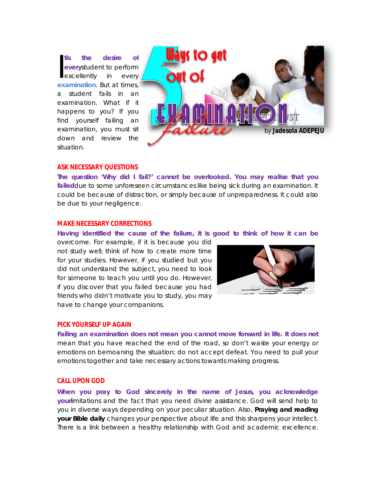**tis the desire of every**student to perform excellently in every **tis** the desire of<br>everystudent to perform<br>excellently in every<br>[examination](http://www.jessethrust.com/7-keys-to-meaningful-study.pdf). But at times, a student fails in an examination. What if it happens to you? If you find yourself failing an examination, you must sit down and review the situation.



#### **ASK NECESSARY QUESTIONS**

**The question 'Why did I fail?' cannot be overlooked. You may realise that you failed**due to some unforeseen circumstances like being sick during an examination. It could be because of distraction, or simply because of unpreparedness. It could also be due to your negligence.

### **MAKE NECESSARY CORRECTIONS**

**Having identified the cause of the failure, it is good to think of how it can be**

overcome. For example, if it is because you did not study well; think of how to create more time for your studies. However, if you studied but you did not understand the subject, you need to look for someone to teach you until you do. However, if you discover that you failed because you had friends who didn't motivate you to study, you may have to change your companions.



#### **PICK YOURSELF UP AGAIN**

**Failing an examination does not mean you cannot move forward in life. It does not**  mean that you have reached the end of the road, so don't waste your energy or emotions on bemoaning the situation; do not accept defeat. You need to pull your emotions together and take necessary actions towards making progress.

### **CALL UPON GOD**

**When you pray to God sincerely in the name of Jesus, you acknowledge your**limitations and the fact that you need divine assistance. God will send help to you in diverse ways depending on your peculiar situation. Also, **Praying and reading your Bible daily** changes your perspective about life and this sharpens your intellect. There is a link between a healthy relationship with God and academic excellence.